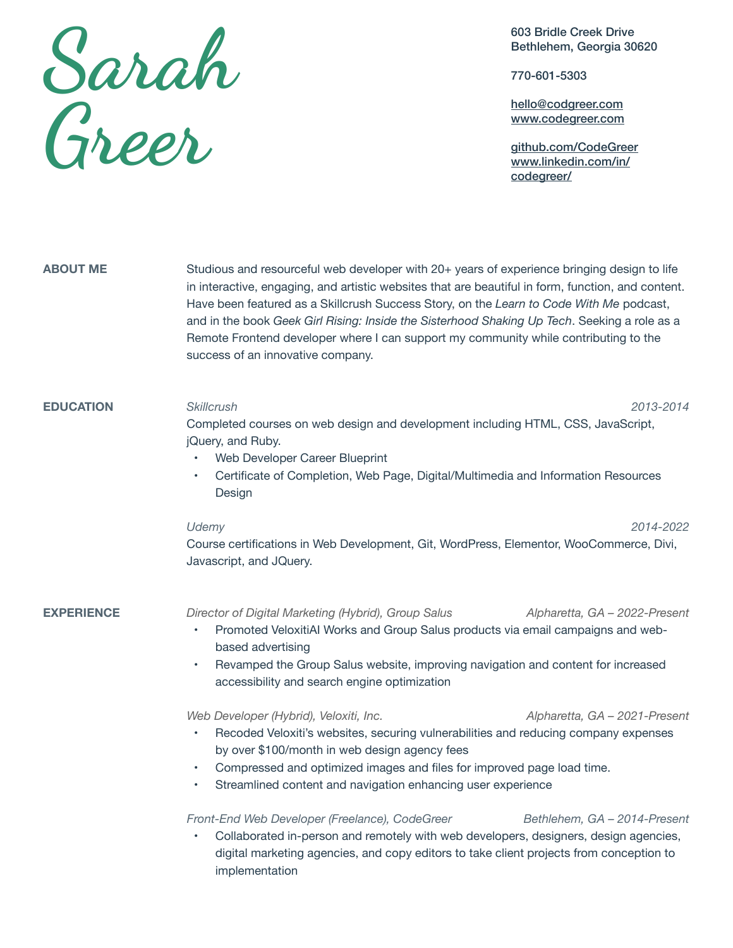## **Sarah Grer**

603 Bridle Creek Drive Bethlehem, Georgia 30620

770-601-5303

[hello@codgreer.com](mailto:hello@codgreer.com) [www.codegreer.com](http://www.codegreer.com)

[github.com/CodeGreer](http://github.com/CodeGreer) [www.linkedin.com/in/](http://www.linkedin.com/in/codegreer/) [codegreer/](http://www.linkedin.com/in/codegreer/)

| <b>ABOUT ME</b>   | Studious and resourceful web developer with 20+ years of experience bringing design to life<br>in interactive, engaging, and artistic websites that are beautiful in form, function, and content.<br>Have been featured as a Skillcrush Success Story, on the Learn to Code With Me podcast,<br>and in the book Geek Girl Rising: Inside the Sisterhood Shaking Up Tech. Seeking a role as a<br>Remote Frontend developer where I can support my community while contributing to the<br>success of an innovative company. |
|-------------------|---------------------------------------------------------------------------------------------------------------------------------------------------------------------------------------------------------------------------------------------------------------------------------------------------------------------------------------------------------------------------------------------------------------------------------------------------------------------------------------------------------------------------|
| <b>EDUCATION</b>  | <b>Skillcrush</b><br>2013-2014<br>Completed courses on web design and development including HTML, CSS, JavaScript,<br>jQuery, and Ruby.<br>Web Developer Career Blueprint<br>Certificate of Completion, Web Page, Digital/Multimedia and Information Resources<br>٠<br>Design                                                                                                                                                                                                                                             |
|                   | Udemy<br>2014-2022<br>Course certifications in Web Development, Git, WordPress, Elementor, WooCommerce, Divi,<br>Javascript, and JQuery.                                                                                                                                                                                                                                                                                                                                                                                  |
| <b>EXPERIENCE</b> | Director of Digital Marketing (Hybrid), Group Salus<br>Alpharetta, GA - 2022-Present<br>Promoted VeloxitiAI Works and Group Salus products via email campaigns and web-<br>٠<br>based advertising<br>Revamped the Group Salus website, improving navigation and content for increased<br>$\bullet$<br>accessibility and search engine optimization                                                                                                                                                                        |
|                   | Web Developer (Hybrid), Veloxiti, Inc.<br>Alpharetta, GA - 2021-Present<br>Recoded Veloxiti's websites, securing vulnerabilities and reducing company expenses<br>٠<br>by over \$100/month in web design agency fees<br>Compressed and optimized images and files for improved page load time.<br>$\bullet$<br>Streamlined content and navigation enhancing user experience                                                                                                                                               |
|                   | Front-End Web Developer (Freelance), CodeGreer<br>Bethlehem, GA - 2014-Present<br>Collaborated in-person and remotely with web developers, designers, design agencies,<br>digital marketing agencies, and copy editors to take client projects from conception to<br>implementation                                                                                                                                                                                                                                       |